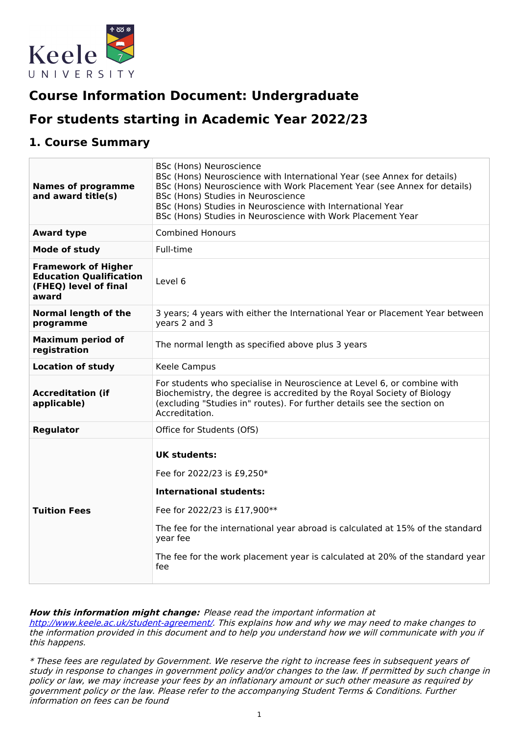

# **Course Information Document: Undergraduate**

# **For students starting in Academic Year 2022/23**

### **1. Course Summary**

| <b>Names of programme</b><br>and award title(s)                                                | <b>BSc (Hons) Neuroscience</b><br>BSc (Hons) Neuroscience with International Year (see Annex for details)<br>BSc (Hons) Neuroscience with Work Placement Year (see Annex for details)<br>BSc (Hons) Studies in Neuroscience<br>BSc (Hons) Studies in Neuroscience with International Year<br>BSc (Hons) Studies in Neuroscience with Work Placement Year |  |  |
|------------------------------------------------------------------------------------------------|----------------------------------------------------------------------------------------------------------------------------------------------------------------------------------------------------------------------------------------------------------------------------------------------------------------------------------------------------------|--|--|
| <b>Award type</b>                                                                              | <b>Combined Honours</b>                                                                                                                                                                                                                                                                                                                                  |  |  |
| <b>Mode of study</b>                                                                           | Full-time                                                                                                                                                                                                                                                                                                                                                |  |  |
| <b>Framework of Higher</b><br><b>Education Qualification</b><br>(FHEQ) level of final<br>award | Level 6                                                                                                                                                                                                                                                                                                                                                  |  |  |
| <b>Normal length of the</b><br>programme                                                       | 3 years; 4 years with either the International Year or Placement Year between<br>years 2 and 3                                                                                                                                                                                                                                                           |  |  |
| <b>Maximum period of</b><br>registration                                                       | The normal length as specified above plus 3 years                                                                                                                                                                                                                                                                                                        |  |  |
| <b>Location of study</b>                                                                       | Keele Campus                                                                                                                                                                                                                                                                                                                                             |  |  |
| <b>Accreditation (if</b><br>applicable)                                                        | For students who specialise in Neuroscience at Level 6, or combine with<br>Biochemistry, the degree is accredited by the Royal Society of Biology<br>(excluding "Studies in" routes). For further details see the section on<br>Accreditation.                                                                                                           |  |  |
| <b>Regulator</b>                                                                               | Office for Students (OfS)                                                                                                                                                                                                                                                                                                                                |  |  |
| <b>Tuition Fees</b>                                                                            | <b>UK students:</b><br>Fee for 2022/23 is £9,250*<br><b>International students:</b><br>Fee for 2022/23 is £17,900**<br>The fee for the international year abroad is calculated at 15% of the standard<br>year fee<br>The fee for the work placement year is calculated at 20% of the standard year<br>fee                                                |  |  |

#### **How this information might change:** Please read the important information at

<http://www.keele.ac.uk/student-agreement/>. This explains how and why we may need to make changes to the information provided in this document and to help you understand how we will communicate with you if this happens.

\* These fees are regulated by Government. We reserve the right to increase fees in subsequent years of study in response to changes in government policy and/or changes to the law. If permitted by such change in policy or law, we may increase your fees by an inflationary amount or such other measure as required by government policy or the law. Please refer to the accompanying Student Terms & Conditions. Further information on fees can be found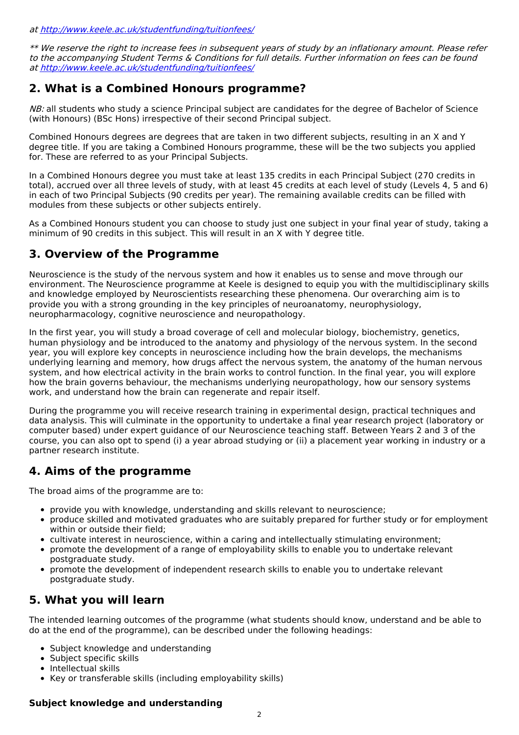at <http://www.keele.ac.uk/studentfunding/tuitionfees/>

\*\* We reserve the right to increase fees in subsequent years of study by an inflationary amount. Please refer to the accompanying Student Terms & Conditions for full details. Further information on fees can be found at <http://www.keele.ac.uk/studentfunding/tuitionfees/>

### **2. What is a Combined Honours programme?**

NB: all students who study a science Principal subject are candidates for the degree of Bachelor of Science (with Honours) (BSc Hons) irrespective of their second Principal subject.

Combined Honours degrees are degrees that are taken in two different subjects, resulting in an X and Y degree title. If you are taking a Combined Honours programme, these will be the two subjects you applied for. These are referred to as your Principal Subjects.

In a Combined Honours degree you must take at least 135 credits in each Principal Subject (270 credits in total), accrued over all three levels of study, with at least 45 credits at each level of study (Levels 4, 5 and 6) in each of two Principal Subjects (90 credits per year). The remaining available credits can be filled with modules from these subjects or other subjects entirely.

As a Combined Honours student you can choose to study just one subject in your final year of study, taking a minimum of 90 credits in this subject. This will result in an X with Y degree title.

## **3. Overview of the Programme**

Neuroscience is the study of the nervous system and how it enables us to sense and move through our environment. The Neuroscience programme at Keele is designed to equip you with the multidisciplinary skills and knowledge employed by Neuroscientists researching these phenomena. Our overarching aim is to provide you with a strong grounding in the key principles of neuroanatomy, neurophysiology, neuropharmacology, cognitive neuroscience and neuropathology.

In the first year, you will study a broad coverage of cell and molecular biology, biochemistry, genetics, human physiology and be introduced to the anatomy and physiology of the nervous system. In the second year, you will explore key concepts in neuroscience including how the brain develops, the mechanisms underlying learning and memory, how drugs affect the nervous system, the anatomy of the human nervous system, and how electrical activity in the brain works to control function. In the final year, you will explore how the brain governs behaviour, the mechanisms underlying neuropathology, how our sensory systems work, and understand how the brain can regenerate and repair itself.

During the programme you will receive research training in experimental design, practical techniques and data analysis. This will culminate in the opportunity to undertake a final year research project (laboratory or computer based) under expert guidance of our Neuroscience teaching staff. Between Years 2 and 3 of the course, you can also opt to spend (i) a year abroad studying or (ii) a placement year working in industry or a partner research institute.

## **4. Aims of the programme**

The broad aims of the programme are to:

- provide you with knowledge, understanding and skills relevant to neuroscience;
- produce skilled and motivated graduates who are suitably prepared for further study or for employment within or outside their field;
- cultivate interest in neuroscience, within a caring and intellectually stimulating environment;
- promote the development of a range of employability skills to enable you to undertake relevant postgraduate study.
- promote the development of independent research skills to enable you to undertake relevant postgraduate study.

## **5. What you will learn**

The intended learning outcomes of the programme (what students should know, understand and be able to do at the end of the programme), can be described under the following headings:

- Subject knowledge and understanding
- Subject specific skills
- Intellectual skills
- Key or transferable skills (including employability skills)

#### **Subject knowledge and understanding**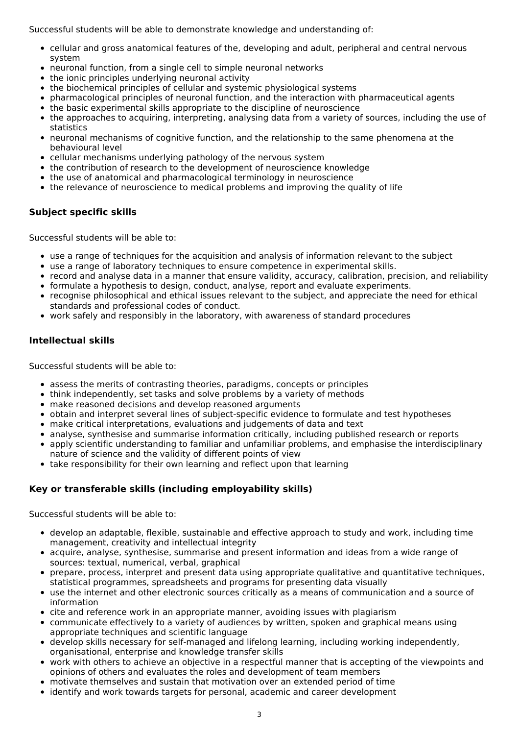Successful students will be able to demonstrate knowledge and understanding of:

- cellular and gross anatomical features of the, developing and adult, peripheral and central nervous system
- neuronal function, from a single cell to simple neuronal networks
- the ionic principles underlying neuronal activity
- the biochemical principles of cellular and systemic physiological systems
- pharmacological principles of neuronal function, and the interaction with pharmaceutical agents
- the basic experimental skills appropriate to the discipline of neuroscience
- the approaches to acquiring, interpreting, analysing data from a variety of sources, including the use of statistics
- neuronal mechanisms of cognitive function, and the relationship to the same phenomena at the behavioural level
- cellular mechanisms underlying pathology of the nervous system
- the contribution of research to the development of neuroscience knowledge
- the use of anatomical and pharmacological terminology in neuroscience
- the relevance of neuroscience to medical problems and improving the quality of life

#### **Subject specific skills**

Successful students will be able to:

- use a range of techniques for the acquisition and analysis of information relevant to the subject
- use a range of laboratory techniques to ensure competence in experimental skills.
- record and analyse data in a manner that ensure validity, accuracy, calibration, precision, and reliability
- formulate a hypothesis to design, conduct, analyse, report and evaluate experiments.
- recognise philosophical and ethical issues relevant to the subject, and appreciate the need for ethical standards and professional codes of conduct.
- work safely and responsibly in the laboratory, with awareness of standard procedures

#### **Intellectual skills**

Successful students will be able to:

- assess the merits of contrasting theories, paradigms, concepts or principles
- think independently, set tasks and solve problems by a variety of methods
- make reasoned decisions and develop reasoned arguments
- obtain and interpret several lines of subject-specific evidence to formulate and test hypotheses
- make critical interpretations, evaluations and judgements of data and text
- analyse, synthesise and summarise information critically, including published research or reports
- apply scientific understanding to familiar and unfamiliar problems, and emphasise the interdisciplinary nature of science and the validity of different points of view
- take responsibility for their own learning and reflect upon that learning

#### **Key or transferable skills (including employability skills)**

Successful students will be able to:

- develop an adaptable, flexible, sustainable and effective approach to study and work, including time management, creativity and intellectual integrity
- acquire, analyse, synthesise, summarise and present information and ideas from a wide range of sources: textual, numerical, verbal, graphical
- prepare, process, interpret and present data using appropriate qualitative and quantitative techniques, statistical programmes, spreadsheets and programs for presenting data visually
- use the internet and other electronic sources critically as a means of communication and a source of  $\bullet$ information
- cite and reference work in an appropriate manner, avoiding issues with plagiarism
- communicate effectively to a variety of audiences by written, spoken and graphical means using appropriate techniques and scientific language
- develop skills necessary for self-managed and lifelong learning, including working independently, organisational, enterprise and knowledge transfer skills
- work with others to achieve an objective in a respectful manner that is accepting of the viewpoints and opinions of others and evaluates the roles and development of team members
- motivate themselves and sustain that motivation over an extended period of time
- identify and work towards targets for personal, academic and career development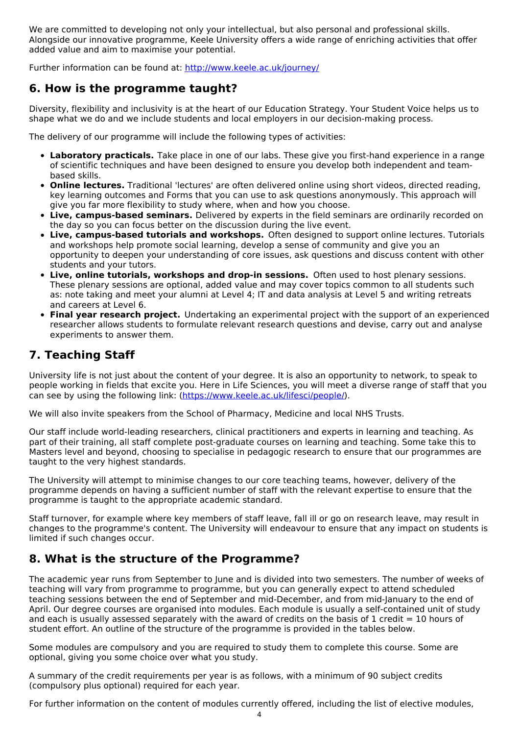We are committed to developing not only your intellectual, but also personal and professional skills. Alongside our innovative programme, Keele University offers a wide range of enriching activities that offer added value and aim to maximise your potential.

Further information can be found at: <http://www.keele.ac.uk/journey/>

### **6. How is the programme taught?**

Diversity, flexibility and inclusivity is at the heart of our Education Strategy. Your Student Voice helps us to shape what we do and we include students and local employers in our decision-making process.

The delivery of our programme will include the following types of activities:

- **Laboratory practicals.** Take place in one of our labs. These give you first-hand experience in a range of scientific techniques and have been designed to ensure you develop both independent and teambased skills.
- **Online lectures.** Traditional 'lectures' are often delivered online using short videos, directed reading, key learning outcomes and Forms that you can use to ask questions anonymously. This approach will give you far more flexibility to study where, when and how you choose.
- **Live, campus-based seminars.** Delivered by experts in the field seminars are ordinarily recorded on the day so you can focus better on the discussion during the live event.
- **Live, campus-based tutorials and workshops.** Often designed to support online lectures. Tutorials and workshops help promote social learning, develop a sense of community and give you an opportunity to deepen your understanding of core issues, ask questions and discuss content with other students and your tutors.
- **Live, online tutorials, workshops and drop-in sessions.** Often used to host plenary sessions. These plenary sessions are optional, added value and may cover topics common to all students such as: note taking and meet your alumni at Level 4; IT and data analysis at Level 5 and writing retreats and careers at Level 6.
- **Final year research project.** Undertaking an experimental project with the support of an experienced researcher allows students to formulate relevant research questions and devise, carry out and analyse experiments to answer them.

## **7. Teaching Staff**

University life is not just about the content of your degree. It is also an opportunity to network, to speak to people working in fields that excite you. Here in Life Sciences, you will meet a diverse range of staff that you can see by using the following link: [\(https://www.keele.ac.uk/lifesci/people/](https://www.keele.ac.uk/lifesci/people/)).

We will also invite speakers from the School of Pharmacy, Medicine and local NHS Trusts.

Our staff include world-leading researchers, clinical practitioners and experts in learning and teaching. As part of their training, all staff complete post-graduate courses on learning and teaching. Some take this to Masters level and beyond, choosing to specialise in pedagogic research to ensure that our programmes are taught to the very highest standards.

The University will attempt to minimise changes to our core teaching teams, however, delivery of the programme depends on having a sufficient number of staff with the relevant expertise to ensure that the programme is taught to the appropriate academic standard.

Staff turnover, for example where key members of staff leave, fall ill or go on research leave, may result in changes to the programme's content. The University will endeavour to ensure that any impact on students is limited if such changes occur.

## **8. What is the structure of the Programme?**

The academic year runs from September to June and is divided into two semesters. The number of weeks of teaching will vary from programme to programme, but you can generally expect to attend scheduled teaching sessions between the end of September and mid-December, and from mid-January to the end of April. Our degree courses are organised into modules. Each module is usually a self-contained unit of study and each is usually assessed separately with the award of credits on the basis of 1 credit  $= 10$  hours of student effort. An outline of the structure of the programme is provided in the tables below.

Some modules are compulsory and you are required to study them to complete this course. Some are optional, giving you some choice over what you study.

A summary of the credit requirements per year is as follows, with a minimum of 90 subject credits (compulsory plus optional) required for each year.

For further information on the content of modules currently offered, including the list of elective modules,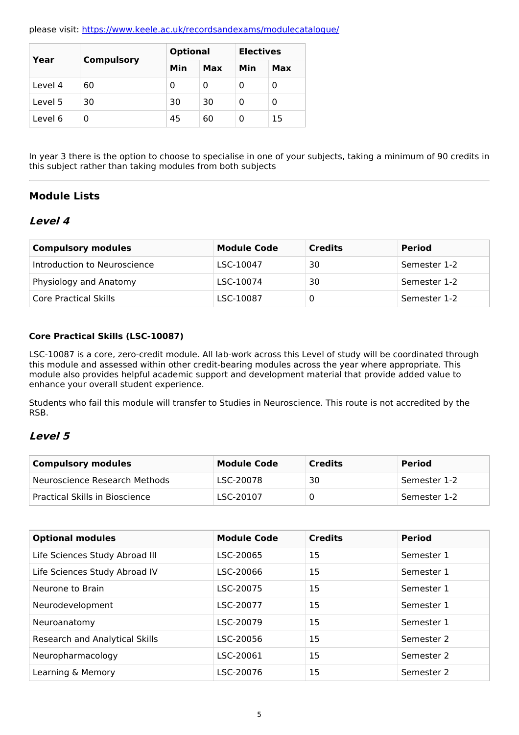please visit: <https://www.keele.ac.uk/recordsandexams/modulecatalogue/>

| Year    |                   | <b>Optional</b> |     | <b>Electives</b> |     |
|---------|-------------------|-----------------|-----|------------------|-----|
|         | <b>Compulsory</b> | Min             | Max | Min              | Max |
| Level 4 | 60                | 0               | 0   | 0                | 0   |
| Level 5 | 30                | 30              | 30  | 0                | 0   |
| Level 6 | 0                 | 45              | 60  | 0                | 15  |

In year 3 there is the option to choose to specialise in one of your subjects, taking a minimum of 90 credits in this subject rather than taking modules from both subjects

### **Module Lists**

### **Level 4**

| <b>Compulsory modules</b>    | <b>Module Code</b> | <b>Credits</b> | <b>Period</b> |
|------------------------------|--------------------|----------------|---------------|
| Introduction to Neuroscience | LSC-10047          | 30             | Semester 1-2  |
| Physiology and Anatomy       | LSC-10074          | 30             | Semester 1-2  |
| Core Practical Skills        | LSC-10087          |                | Semester 1-2  |

#### **Core Practical Skills (LSC-10087)**

LSC-10087 is a core, zero-credit module. All lab-work across this Level of study will be coordinated through this module and assessed within other credit-bearing modules across the year where appropriate. This module also provides helpful academic support and development material that provide added value to enhance your overall student experience.

Students who fail this module will transfer to Studies in Neuroscience. This route is not accredited by the RSB.

### **Level 5**

| <b>Compulsory modules</b>      | <b>Module Code</b> | <b>Credits</b> | <b>Period</b> |
|--------------------------------|--------------------|----------------|---------------|
| Neuroscience Research Methods  | LSC-20078          | 30             | Semester 1-2  |
| Practical Skills in Bioscience | LSC-20107          |                | Semester 1-2  |

| <b>Optional modules</b>        | <b>Module Code</b> | <b>Credits</b> | <b>Period</b> |
|--------------------------------|--------------------|----------------|---------------|
| Life Sciences Study Abroad III | LSC-20065          | 15             | Semester 1    |
| Life Sciences Study Abroad IV  | LSC-20066          | 15             | Semester 1    |
| Neurone to Brain               | LSC-20075          | 15             | Semester 1    |
| Neurodevelopment               | LSC-20077          | 15             | Semester 1    |
| Neuroanatomy                   | LSC-20079          | 15             | Semester 1    |
| Research and Analytical Skills | LSC-20056          | 15             | Semester 2    |
| Neuropharmacology              | LSC-20061          | 15             | Semester 2    |
| Learning & Memory              | LSC-20076          | 15             | Semester 2    |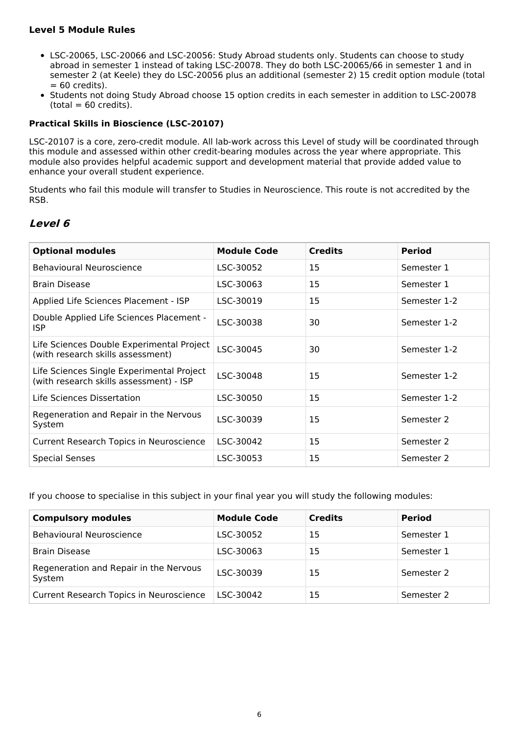#### **Level 5 Module Rules**

- LSC-20065, LSC-20066 and LSC-20056: Study Abroad students only. Students can choose to study abroad in semester 1 instead of taking LSC-20078. They do both LSC-20065/66 in semester 1 and in semester 2 (at Keele) they do LSC-20056 plus an additional (semester 2) 15 credit option module (total  $= 60$  credits).
- Students not doing Study Abroad choose 15 option credits in each semester in addition to LSC-20078  $(total = 60 \text{ credits}).$

#### **Practical Skills in Bioscience (LSC-20107)**

LSC-20107 is a core, zero-credit module. All lab-work across this Level of study will be coordinated through this module and assessed within other credit-bearing modules across the year where appropriate. This module also provides helpful academic support and development material that provide added value to enhance your overall student experience.

Students who fail this module will transfer to Studies in Neuroscience. This route is not accredited by the RSB.

### **Level 6**

| <b>Optional modules</b>                                                              | <b>Module Code</b> | <b>Credits</b> | <b>Period</b> |
|--------------------------------------------------------------------------------------|--------------------|----------------|---------------|
| <b>Behavioural Neuroscience</b>                                                      | LSC-30052          | 15             | Semester 1    |
| <b>Brain Disease</b>                                                                 | LSC-30063          | 15             | Semester 1    |
| Applied Life Sciences Placement - ISP                                                | LSC-30019          | 15             | Semester 1-2  |
| Double Applied Life Sciences Placement -<br>ISP.                                     | LSC-30038          | 30             | Semester 1-2  |
| Life Sciences Double Experimental Project<br>(with research skills assessment)       | LSC-30045          | 30             | Semester 1-2  |
| Life Sciences Single Experimental Project<br>(with research skills assessment) - ISP | LSC-30048          | 15             | Semester 1-2  |
| Life Sciences Dissertation                                                           | LSC-30050          | 15             | Semester 1-2  |
| Regeneration and Repair in the Nervous<br>System                                     | LSC-30039          | 15             | Semester 2    |
| Current Research Topics in Neuroscience                                              | LSC-30042          | 15             | Semester 2    |
| <b>Special Senses</b>                                                                | LSC-30053          | 15             | Semester 2    |

If you choose to specialise in this subject in your final year you will study the following modules:

| <b>Compulsory modules</b>                        | <b>Module Code</b> | <b>Credits</b> | <b>Period</b> |
|--------------------------------------------------|--------------------|----------------|---------------|
| Behavioural Neuroscience                         | LSC-30052          | 15             | Semester 1    |
| <b>Brain Disease</b>                             | LSC-30063          | 15             | Semester 1    |
| Regeneration and Repair in the Nervous<br>System | LSC-30039          | 15             | Semester 2    |
| Current Research Topics in Neuroscience          | LSC-30042          | 15             | Semester 2    |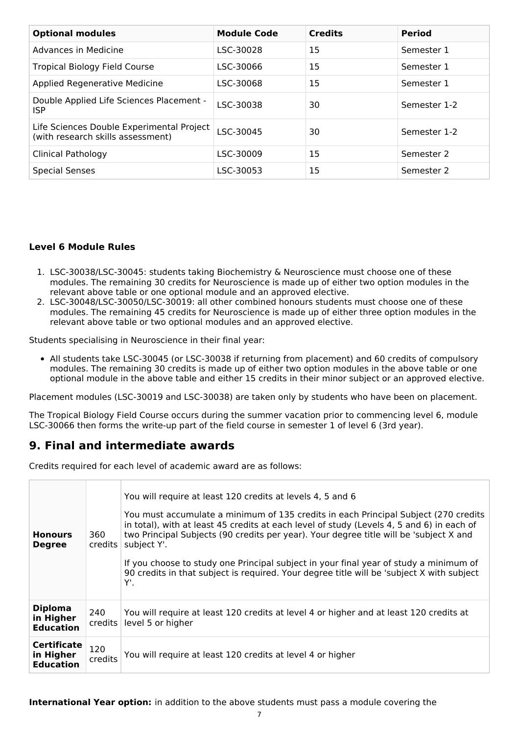| <b>Optional modules</b>                                                        | <b>Module Code</b> | <b>Credits</b> | <b>Period</b> |
|--------------------------------------------------------------------------------|--------------------|----------------|---------------|
| Advances in Medicine                                                           | LSC-30028          | 15             | Semester 1    |
| <b>Tropical Biology Field Course</b>                                           | LSC-30066          | 15             | Semester 1    |
| Applied Regenerative Medicine                                                  | LSC-30068          | 15             | Semester 1    |
| Double Applied Life Sciences Placement -<br><b>ISP</b>                         | LSC-30038          | 30             | Semester 1-2  |
| Life Sciences Double Experimental Project<br>(with research skills assessment) | LSC-30045          | 30             | Semester 1-2  |
| Clinical Pathology                                                             | LSC-30009          | 15             | Semester 2    |
| <b>Special Senses</b>                                                          | LSC-30053          | 15             | Semester 2    |

#### **Level 6 Module Rules**

- 1. LSC-30038/LSC-30045: students taking Biochemistry & Neuroscience must choose one of these modules. The remaining 30 credits for Neuroscience is made up of either two option modules in the relevant above table or one optional module and an approved elective.
- 2. LSC-30048/LSC-30050/LSC-30019: all other combined honours students must choose one of these modules. The remaining 45 credits for Neuroscience is made up of either three option modules in the relevant above table or two optional modules and an approved elective.

Students specialising in Neuroscience in their final year:

• All students take LSC-30045 (or LSC-30038 if returning from placement) and 60 credits of compulsory modules. The remaining 30 credits is made up of either two option modules in the above table or one optional module in the above table and either 15 credits in their minor subject or an approved elective.

Placement modules (LSC-30019 and LSC-30038) are taken only by students who have been on placement.

The Tropical Biology Field Course occurs during the summer vacation prior to commencing level 6, module LSC-30066 then forms the write-up part of the field course in semester 1 of level 6 (3rd year).

## **9. Final and intermediate awards**

Credits required for each level of academic award are as follows:

| <b>Honours</b><br><b>Degree</b>                     | 360<br>credits l | You will require at least 120 credits at levels 4, 5 and 6<br>You must accumulate a minimum of 135 credits in each Principal Subject (270 credits<br>in total), with at least 45 credits at each level of study (Levels 4, 5 and 6) in each of<br>two Principal Subjects (90 credits per year). Your degree title will be 'subject X and<br>subject Y'.<br>If you choose to study one Principal subject in your final year of study a minimum of<br>90 credits in that subject is required. Your degree title will be 'subject X with subject<br>Υ'. |
|-----------------------------------------------------|------------------|------------------------------------------------------------------------------------------------------------------------------------------------------------------------------------------------------------------------------------------------------------------------------------------------------------------------------------------------------------------------------------------------------------------------------------------------------------------------------------------------------------------------------------------------------|
| <b>Diploma</b><br>in Higher<br><b>Education</b>     | 240<br>credits   | You will require at least 120 credits at level 4 or higher and at least 120 credits at<br>level 5 or higher                                                                                                                                                                                                                                                                                                                                                                                                                                          |
| <b>Certificate</b><br>in Higher<br><b>Education</b> | 120<br>credits   | You will require at least 120 credits at level 4 or higher                                                                                                                                                                                                                                                                                                                                                                                                                                                                                           |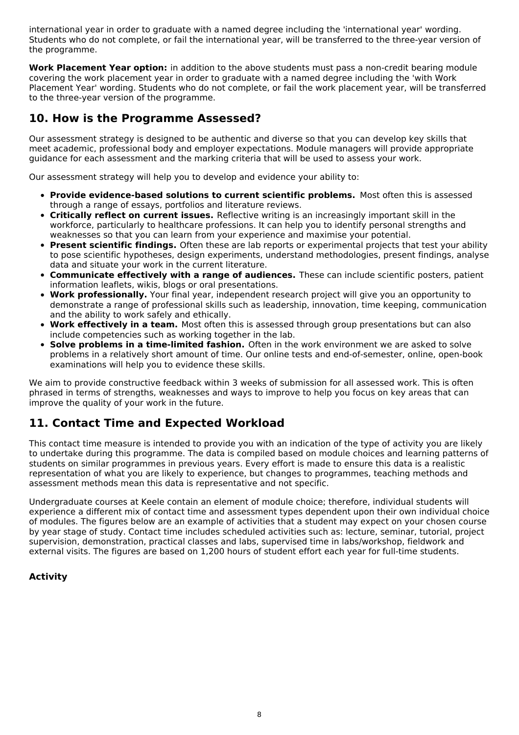international year in order to graduate with a named degree including the 'international year' wording. Students who do not complete, or fail the international year, will be transferred to the three-year version of the programme.

**Work Placement Year option:** in addition to the above students must pass a non-credit bearing module covering the work placement year in order to graduate with a named degree including the 'with Work Placement Year' wording. Students who do not complete, or fail the work placement year, will be transferred to the three-year version of the programme.

## **10. How is the Programme Assessed?**

Our assessment strategy is designed to be authentic and diverse so that you can develop key skills that meet academic, professional body and employer expectations. Module managers will provide appropriate guidance for each assessment and the marking criteria that will be used to assess your work.

Our assessment strategy will help you to develop and evidence your ability to:

- **Provide evidence-based solutions to current scientific problems.** Most often this is assessed through a range of essays, portfolios and literature reviews.
- **Critically reflect on current issues.** Reflective writing is an increasingly important skill in the workforce, particularly to healthcare professions. It can help you to identify personal strengths and weaknesses so that you can learn from your experience and maximise your potential.
- **Present scientific findings.** Often these are lab reports or experimental projects that test your ability to pose scientific hypotheses, design experiments, understand methodologies, present findings, analyse data and situate your work in the current literature.
- **Communicate effectively with a range of audiences.** These can include scientific posters, patient information leaflets, wikis, blogs or oral presentations.
- **Work professionally.** Your final year, independent research project will give you an opportunity to  $\bullet$ demonstrate a range of professional skills such as leadership, innovation, time keeping, communication and the ability to work safely and ethically.
- **Work effectively in a team.** Most often this is assessed through group presentations but can also include competencies such as working together in the lab.
- **Solve problems in a time-limited fashion.** Often in the work environment we are asked to solve problems in a relatively short amount of time. Our online tests and end-of-semester, online, open-book examinations will help you to evidence these skills.

We aim to provide constructive feedback within 3 weeks of submission for all assessed work. This is often phrased in terms of strengths, weaknesses and ways to improve to help you focus on key areas that can improve the quality of your work in the future.

## **11. Contact Time and Expected Workload**

This contact time measure is intended to provide you with an indication of the type of activity you are likely to undertake during this programme. The data is compiled based on module choices and learning patterns of students on similar programmes in previous years. Every effort is made to ensure this data is a realistic representation of what you are likely to experience, but changes to programmes, teaching methods and assessment methods mean this data is representative and not specific.

Undergraduate courses at Keele contain an element of module choice; therefore, individual students will experience a different mix of contact time and assessment types dependent upon their own individual choice of modules. The figures below are an example of activities that a student may expect on your chosen course by year stage of study. Contact time includes scheduled activities such as: lecture, seminar, tutorial, project supervision, demonstration, practical classes and labs, supervised time in labs/workshop, fieldwork and external visits. The figures are based on 1,200 hours of student effort each year for full-time students.

### **Activity**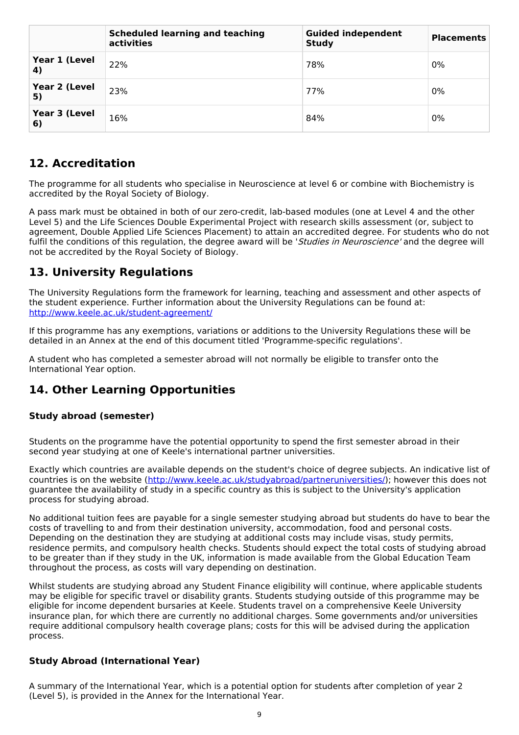|                     | <b>Scheduled learning and teaching</b><br>activities | <b>Guided independent</b><br><b>Study</b> | <b>Placements</b> |
|---------------------|------------------------------------------------------|-------------------------------------------|-------------------|
| Year 1 (Level<br>4) | 22%                                                  | 78%                                       | 0%                |
| Year 2 (Level<br>5) | 23%                                                  | 77%                                       | 0%                |
| Year 3 (Level<br>6) | 16%                                                  | 84%                                       | 0%                |

## **12. Accreditation**

The programme for all students who specialise in Neuroscience at level 6 or combine with Biochemistry is accredited by the Royal Society of Biology.

A pass mark must be obtained in both of our zero-credit, lab-based modules (one at Level 4 and the other Level 5) and the Life Sciences Double Experimental Project with research skills assessment (or, subject to agreement, Double Applied Life Sciences Placement) to attain an accredited degree. For students who do not fulfil the conditions of this regulation, the degree award will be 'Studies in Neuroscience' and the degree will not be accredited by the Royal Society of Biology.

## **13. University Regulations**

The University Regulations form the framework for learning, teaching and assessment and other aspects of the student experience. Further information about the University Regulations can be found at: <http://www.keele.ac.uk/student-agreement/>

If this programme has any exemptions, variations or additions to the University Regulations these will be detailed in an Annex at the end of this document titled 'Programme-specific regulations'.

A student who has completed a semester abroad will not normally be eligible to transfer onto the International Year option.

## **14. Other Learning Opportunities**

### **Study abroad (semester)**

Students on the programme have the potential opportunity to spend the first semester abroad in their second year studying at one of Keele's international partner universities.

Exactly which countries are available depends on the student's choice of degree subjects. An indicative list of countries is on the website (<http://www.keele.ac.uk/studyabroad/partneruniversities/>); however this does not guarantee the availability of study in a specific country as this is subject to the University's application process for studying abroad.

No additional tuition fees are payable for a single semester studying abroad but students do have to bear the costs of travelling to and from their destination university, accommodation, food and personal costs. Depending on the destination they are studying at additional costs may include visas, study permits, residence permits, and compulsory health checks. Students should expect the total costs of studying abroad to be greater than if they study in the UK, information is made available from the Global Education Team throughout the process, as costs will vary depending on destination.

Whilst students are studying abroad any Student Finance eligibility will continue, where applicable students may be eligible for specific travel or disability grants. Students studying outside of this programme may be eligible for income dependent bursaries at Keele. Students travel on a comprehensive Keele University insurance plan, for which there are currently no additional charges. Some governments and/or universities require additional compulsory health coverage plans; costs for this will be advised during the application process.

### **Study Abroad (International Year)**

A summary of the International Year, which is a potential option for students after completion of year 2 (Level 5), is provided in the Annex for the International Year.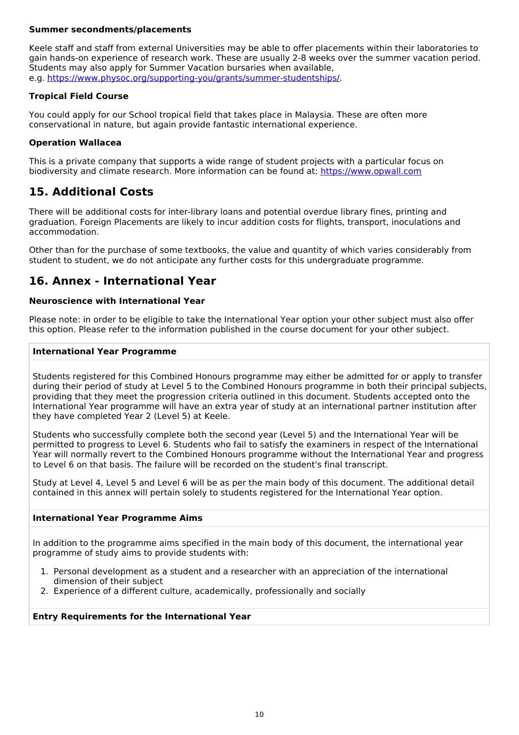#### **Summer secondments/placements**

Keele staff and staff from external Universities may be able to offer placements within their laboratories to gain hands-on experience of research work. These are usually 2-8 weeks over the summer vacation period. Students may also apply for Summer Vacation bursaries when available, e.g. <https://www.physoc.org/supporting-you/grants/summer-studentships/>.

#### **Tropical Field Course**

You could apply for our School tropical field that takes place in Malaysia. These are often more conservational in nature, but again provide fantastic international experience.

#### **Operation Wallacea**

This is a private company that supports a wide range of student projects with a particular focus on biodiversity and climate research. More information can be found at: <https://www.opwall.com>

## **15. Additional Costs**

There will be additional costs for inter-library loans and potential overdue library fines, printing and graduation. Foreign Placements are likely to incur addition costs for flights, transport, inoculations and accommodation.

Other than for the purchase of some textbooks, the value and quantity of which varies considerably from student to student, we do not anticipate any further costs for this undergraduate programme.

### **16. Annex - International Year**

#### **Neuroscience with International Year**

Please note: in order to be eligible to take the International Year option your other subject must also offer this option. Please refer to the information published in the course document for your other subject.

#### **International Year Programme**

Students registered for this Combined Honours programme may either be admitted for or apply to transfer during their period of study at Level 5 to the Combined Honours programme in both their principal subjects, providing that they meet the progression criteria outlined in this document. Students accepted onto the International Year programme will have an extra year of study at an international partner institution after they have completed Year 2 (Level 5) at Keele.

Students who successfully complete both the second year (Level 5) and the International Year will be permitted to progress to Level 6. Students who fail to satisfy the examiners in respect of the International Year will normally revert to the Combined Honours programme without the International Year and progress to Level 6 on that basis. The failure will be recorded on the student's final transcript.

Study at Level 4, Level 5 and Level 6 will be as per the main body of this document. The additional detail contained in this annex will pertain solely to students registered for the International Year option.

#### **International Year Programme Aims**

In addition to the programme aims specified in the main body of this document, the international year programme of study aims to provide students with:

- 1. Personal development as a student and a researcher with an appreciation of the international dimension of their subject
- 2. Experience of a different culture, academically, professionally and socially

#### **Entry Requirements for the International Year**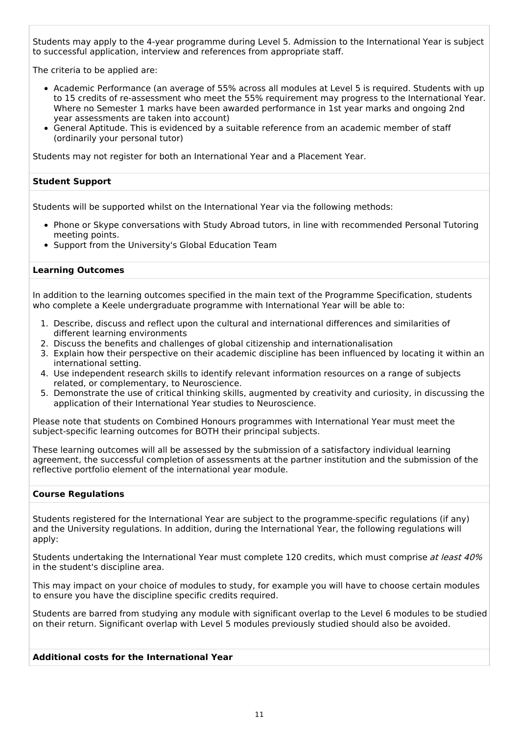Students may apply to the 4-year programme during Level 5. Admission to the International Year is subject to successful application, interview and references from appropriate staff.

The criteria to be applied are:

- Academic Performance (an average of 55% across all modules at Level 5 is required. Students with up to 15 credits of re-assessment who meet the 55% requirement may progress to the International Year. Where no Semester 1 marks have been awarded performance in 1st year marks and ongoing 2nd year assessments are taken into account)
- General Aptitude. This is evidenced by a suitable reference from an academic member of staff (ordinarily your personal tutor)

Students may not register for both an International Year and a Placement Year.

#### **Student Support**

Students will be supported whilst on the International Year via the following methods:

- Phone or Skype conversations with Study Abroad tutors, in line with recommended Personal Tutoring meeting points.
- Support from the University's Global Education Team

#### **Learning Outcomes**

In addition to the learning outcomes specified in the main text of the Programme Specification, students who complete a Keele undergraduate programme with International Year will be able to:

- 1. Describe, discuss and reflect upon the cultural and international differences and similarities of different learning environments
- 2. Discuss the benefits and challenges of global citizenship and internationalisation
- 3. Explain how their perspective on their academic discipline has been influenced by locating it within an international setting.
- 4. Use independent research skills to identify relevant information resources on a range of subjects related, or complementary, to Neuroscience.
- 5. Demonstrate the use of critical thinking skills, augmented by creativity and curiosity, in discussing the application of their International Year studies to Neuroscience.

Please note that students on Combined Honours programmes with International Year must meet the subject-specific learning outcomes for BOTH their principal subjects.

These learning outcomes will all be assessed by the submission of a satisfactory individual learning agreement, the successful completion of assessments at the partner institution and the submission of the reflective portfolio element of the international year module.

#### **Course Regulations**

Students registered for the International Year are subject to the programme-specific regulations (if any) and the University regulations. In addition, during the International Year, the following regulations will apply:

Students undertaking the International Year must complete 120 credits, which must comprise at least 40% in the student's discipline area.

This may impact on your choice of modules to study, for example you will have to choose certain modules to ensure you have the discipline specific credits required.

Students are barred from studying any module with significant overlap to the Level 6 modules to be studied on their return. Significant overlap with Level 5 modules previously studied should also be avoided.

#### **Additional costs for the International Year**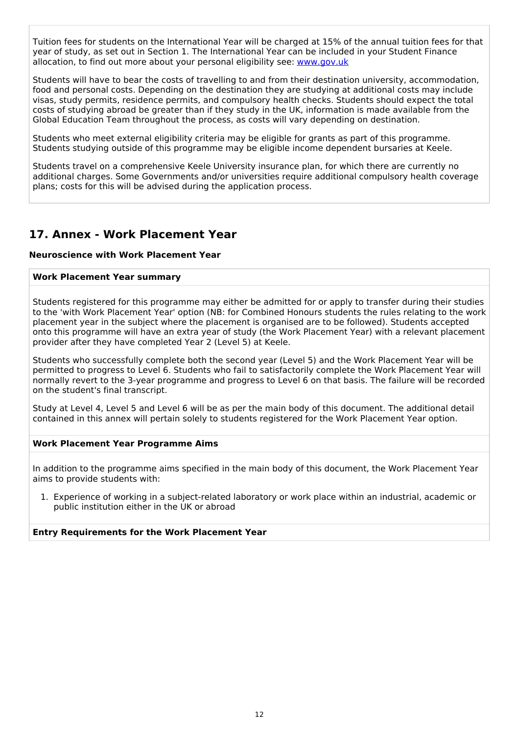Tuition fees for students on the International Year will be charged at 15% of the annual tuition fees for that year of study, as set out in Section 1. The International Year can be included in your Student Finance allocation, to find out more about your personal eligibility see: [www.gov.uk](http://www.gov.uk/)

Students will have to bear the costs of travelling to and from their destination university, accommodation, food and personal costs. Depending on the destination they are studying at additional costs may include visas, study permits, residence permits, and compulsory health checks. Students should expect the total costs of studying abroad be greater than if they study in the UK, information is made available from the Global Education Team throughout the process, as costs will vary depending on destination.

Students who meet external eligibility criteria may be eligible for grants as part of this programme. Students studying outside of this programme may be eligible income dependent bursaries at Keele.

Students travel on a comprehensive Keele University insurance plan, for which there are currently no additional charges. Some Governments and/or universities require additional compulsory health coverage plans; costs for this will be advised during the application process.

## **17. Annex - Work Placement Year**

#### **Neuroscience with Work Placement Year**

#### **Work Placement Year summary**

Students registered for this programme may either be admitted for or apply to transfer during their studies to the 'with Work Placement Year' option (NB: for Combined Honours students the rules relating to the work placement year in the subject where the placement is organised are to be followed). Students accepted onto this programme will have an extra year of study (the Work Placement Year) with a relevant placement provider after they have completed Year 2 (Level 5) at Keele.

Students who successfully complete both the second year (Level 5) and the Work Placement Year will be permitted to progress to Level 6. Students who fail to satisfactorily complete the Work Placement Year will normally revert to the 3-year programme and progress to Level 6 on that basis. The failure will be recorded on the student's final transcript.

Study at Level 4, Level 5 and Level 6 will be as per the main body of this document. The additional detail contained in this annex will pertain solely to students registered for the Work Placement Year option.

#### **Work Placement Year Programme Aims**

In addition to the programme aims specified in the main body of this document, the Work Placement Year aims to provide students with:

1. Experience of working in a subject-related laboratory or work place within an industrial, academic or public institution either in the UK or abroad

#### **Entry Requirements for the Work Placement Year**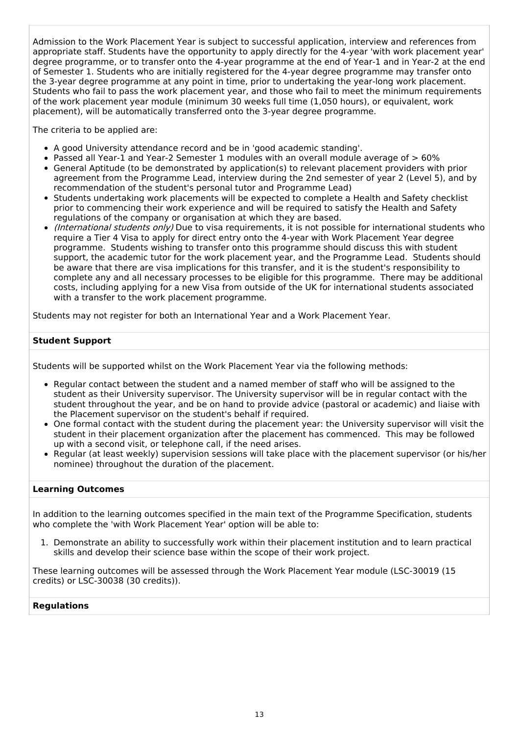Admission to the Work Placement Year is subject to successful application, interview and references from appropriate staff. Students have the opportunity to apply directly for the 4-year 'with work placement year' degree programme, or to transfer onto the 4-year programme at the end of Year-1 and in Year-2 at the end of Semester 1. Students who are initially registered for the 4-year degree programme may transfer onto the 3-year degree programme at any point in time, prior to undertaking the year-long work placement. Students who fail to pass the work placement year, and those who fail to meet the minimum requirements of the work placement year module (minimum 30 weeks full time (1,050 hours), or equivalent, work placement), will be automatically transferred onto the 3-year degree programme.

The criteria to be applied are:

- A good University attendance record and be in 'good academic standing'.
- Passed all Year-1 and Year-2 Semester 1 modules with an overall module average of > 60%
- General Aptitude (to be demonstrated by application(s) to relevant placement providers with prior agreement from the Programme Lead, interview during the 2nd semester of year 2 (Level 5), and by recommendation of the student's personal tutor and Programme Lead)
- Students undertaking work placements will be expected to complete a Health and Safety checklist prior to commencing their work experience and will be required to satisfy the Health and Safety regulations of the company or organisation at which they are based.
- (International students only) Due to visa requirements, it is not possible for international students who require a Tier 4 Visa to apply for direct entry onto the 4-year with Work Placement Year degree programme. Students wishing to transfer onto this programme should discuss this with student support, the academic tutor for the work placement year, and the Programme Lead. Students should be aware that there are visa implications for this transfer, and it is the student's responsibility to complete any and all necessary processes to be eligible for this programme. There may be additional costs, including applying for a new Visa from outside of the UK for international students associated with a transfer to the work placement programme.

Students may not register for both an International Year and a Work Placement Year.

#### **Student Support**

Students will be supported whilst on the Work Placement Year via the following methods:

- Regular contact between the student and a named member of staff who will be assigned to the student as their University supervisor. The University supervisor will be in regular contact with the student throughout the year, and be on hand to provide advice (pastoral or academic) and liaise with the Placement supervisor on the student's behalf if required.
- One formal contact with the student during the placement year: the University supervisor will visit the student in their placement organization after the placement has commenced. This may be followed up with a second visit, or telephone call, if the need arises.
- Regular (at least weekly) supervision sessions will take place with the placement supervisor (or his/her nominee) throughout the duration of the placement.

#### **Learning Outcomes**

In addition to the learning outcomes specified in the main text of the Programme Specification, students who complete the 'with Work Placement Year' option will be able to:

1. Demonstrate an ability to successfully work within their placement institution and to learn practical skills and develop their science base within the scope of their work project.

These learning outcomes will be assessed through the Work Placement Year module (LSC-30019 (15 credits) or LSC-30038 (30 credits)).

#### **Regulations**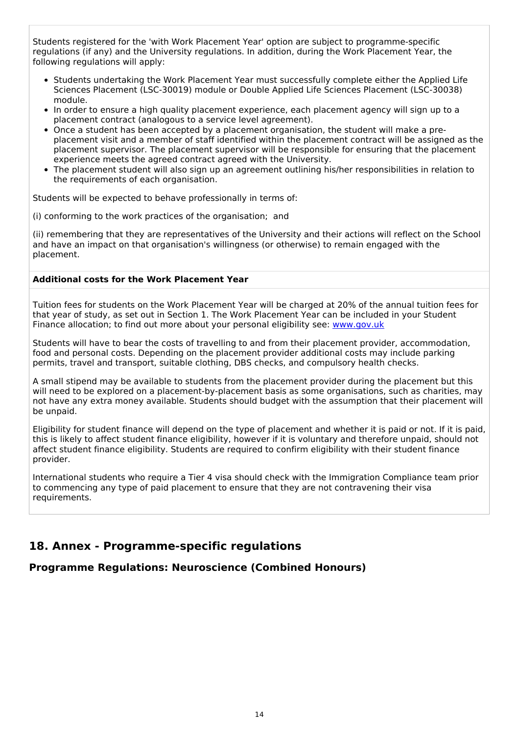Students registered for the 'with Work Placement Year' option are subject to programme-specific regulations (if any) and the University regulations. In addition, during the Work Placement Year, the following regulations will apply:

- Students undertaking the Work Placement Year must successfully complete either the Applied Life Sciences Placement (LSC-30019) module or Double Applied Life Sciences Placement (LSC-30038) module.
- In order to ensure a high quality placement experience, each placement agency will sign up to a placement contract (analogous to a service level agreement).
- Once a student has been accepted by a placement organisation, the student will make a preplacement visit and a member of staff identified within the placement contract will be assigned as the placement supervisor. The placement supervisor will be responsible for ensuring that the placement experience meets the agreed contract agreed with the University.
- The placement student will also sign up an agreement outlining his/her responsibilities in relation to the requirements of each organisation.

Students will be expected to behave professionally in terms of:

(i) conforming to the work practices of the organisation; and

(ii) remembering that they are representatives of the University and their actions will reflect on the School and have an impact on that organisation's willingness (or otherwise) to remain engaged with the placement.

#### **Additional costs for the Work Placement Year**

Tuition fees for students on the Work Placement Year will be charged at 20% of the annual tuition fees for that year of study, as set out in Section 1. The Work Placement Year can be included in your Student Finance allocation; to find out more about your personal eligibility see: [www.gov.uk](http://www.gov.uk/)

Students will have to bear the costs of travelling to and from their placement provider, accommodation, food and personal costs. Depending on the placement provider additional costs may include parking permits, travel and transport, suitable clothing, DBS checks, and compulsory health checks.

A small stipend may be available to students from the placement provider during the placement but this will need to be explored on a placement-by-placement basis as some organisations, such as charities, may not have any extra money available. Students should budget with the assumption that their placement will be unpaid.

Eligibility for student finance will depend on the type of placement and whether it is paid or not. If it is paid, this is likely to affect student finance eligibility, however if it is voluntary and therefore unpaid, should not affect student finance eligibility. Students are required to confirm eligibility with their student finance provider.

International students who require a Tier 4 visa should check with the Immigration Compliance team prior to commencing any type of paid placement to ensure that they are not contravening their visa requirements.

## **18. Annex - Programme-specific regulations**

### **Programme Regulations: Neuroscience (Combined Honours)**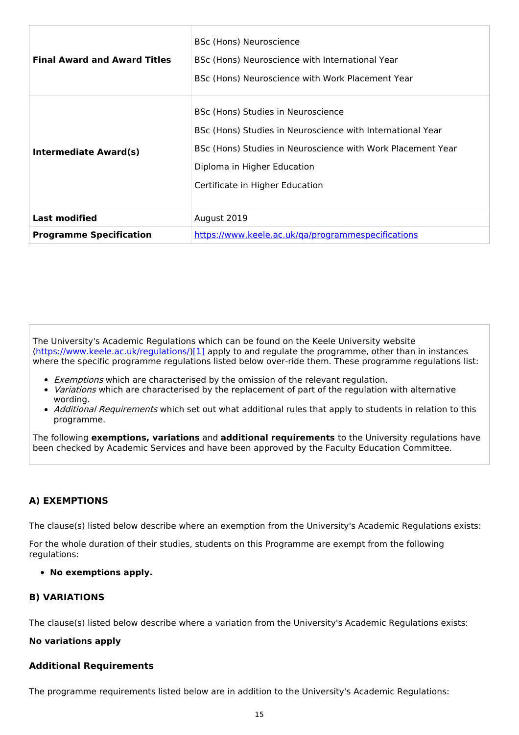| <b>Final Award and Award Titles</b> | BSc (Hons) Neuroscience<br>BSc (Hons) Neuroscience with International Year<br>BSc (Hons) Neuroscience with Work Placement Year                                                                                                    |
|-------------------------------------|-----------------------------------------------------------------------------------------------------------------------------------------------------------------------------------------------------------------------------------|
| <b>Intermediate Award(s)</b>        | BSc (Hons) Studies in Neuroscience<br>BSc (Hons) Studies in Neuroscience with International Year<br>BSc (Hons) Studies in Neuroscience with Work Placement Year<br>Diploma in Higher Education<br>Certificate in Higher Education |
| <b>Last modified</b>                | August 2019                                                                                                                                                                                                                       |
| <b>Programme Specification</b>      | https://www.keele.ac.uk/ga/programmespecifications                                                                                                                                                                                |

The University's Academic Regulations which can be found on the Keele University website [\(https://www.keele.ac.uk/regulations/](https://www.keele.ac.uk/regulations/)[\)\[1\]](https://scims-api.keele.ac.uk/#_ftn1) apply to and regulate the programme, other than in instances where the specific programme regulations listed below over-ride them. These programme regulations list:

- Exemptions which are characterised by the omission of the relevant regulation.
- Variations which are characterised by the replacement of part of the regulation with alternative wording.
- Additional Requirements which set out what additional rules that apply to students in relation to this programme.

The following **exemptions, variations** and **additional requirements** to the University regulations have been checked by Academic Services and have been approved by the Faculty Education Committee.

#### **A) EXEMPTIONS**

The clause(s) listed below describe where an exemption from the University's Academic Regulations exists:

For the whole duration of their studies, students on this Programme are exempt from the following regulations:

**No exemptions apply.**

#### **B) VARIATIONS**

The clause(s) listed below describe where a variation from the University's Academic Regulations exists:

#### **No variations apply**

#### **Additional Requirements**

The programme requirements listed below are in addition to the University's Academic Regulations: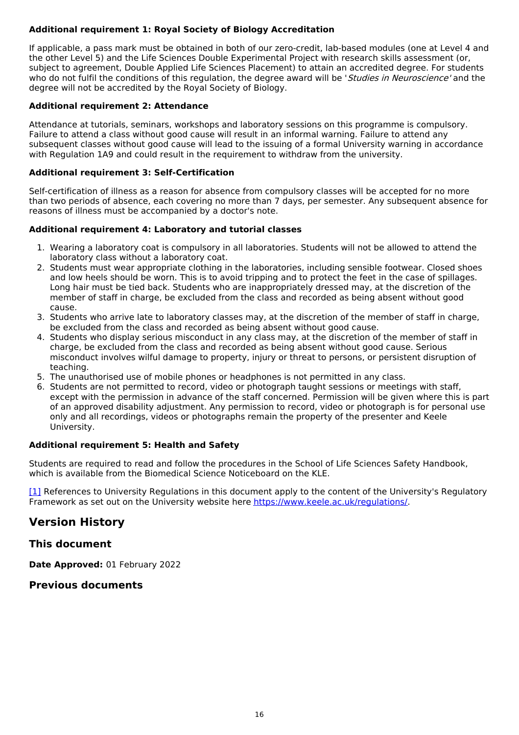### **Additional requirement 1: Royal Society of Biology Accreditation**

If applicable, a pass mark must be obtained in both of our zero-credit, lab-based modules (one at Level 4 and the other Level 5) and the Life Sciences Double Experimental Project with research skills assessment (or, subject to agreement, Double Applied Life Sciences Placement) to attain an accredited degree. For students who do not fulfil the conditions of this regulation, the degree award will be 'Studies in Neuroscience' and the degree will not be accredited by the Royal Society of Biology.

#### **Additional requirement 2: Attendance**

Attendance at tutorials, seminars, workshops and laboratory sessions on this programme is compulsory. Failure to attend a class without good cause will result in an informal warning. Failure to attend any subsequent classes without good cause will lead to the issuing of a formal University warning in accordance with Regulation 1A9 and could result in the requirement to withdraw from the university.

#### **Additional requirement 3: Self-Certification**

Self-certification of illness as a reason for absence from compulsory classes will be accepted for no more than two periods of absence, each covering no more than 7 days, per semester. Any subsequent absence for reasons of illness must be accompanied by a doctor's note.

#### **Additional requirement 4: Laboratory and tutorial classes**

- 1. Wearing a laboratory coat is compulsory in all laboratories. Students will not be allowed to attend the laboratory class without a laboratory coat.
- 2. Students must wear appropriate clothing in the laboratories, including sensible footwear. Closed shoes and low heels should be worn. This is to avoid tripping and to protect the feet in the case of spillages. Long hair must be tied back. Students who are inappropriately dressed may, at the discretion of the member of staff in charge, be excluded from the class and recorded as being absent without good cause.
- 3. Students who arrive late to laboratory classes may, at the discretion of the member of staff in charge, be excluded from the class and recorded as being absent without good cause.
- 4. Students who display serious misconduct in any class may, at the discretion of the member of staff in charge, be excluded from the class and recorded as being absent without good cause. Serious misconduct involves wilful damage to property, injury or threat to persons, or persistent disruption of teaching.
- 5. The unauthorised use of mobile phones or headphones is not permitted in any class.
- 6. Students are not permitted to record, video or photograph taught sessions or meetings with staff, except with the permission in advance of the staff concerned. Permission will be given where this is part of an approved disability adjustment. Any permission to record, video or photograph is for personal use only and all recordings, videos or photographs remain the property of the presenter and Keele University.

#### **Additional requirement 5: Health and Safety**

Students are required to read and follow the procedures in the School of Life Sciences Safety Handbook, which is available from the Biomedical Science Noticeboard on the KLE.

[\[1\]](https://scims-api.keele.ac.uk/#_ftnref1) References to University Regulations in this document apply to the content of the University's Regulatory Framework as set out on the University website here <https://www.keele.ac.uk/regulations/>.

## **Version History**

### **This document**

**Date Approved:** 01 February 2022

### **Previous documents**